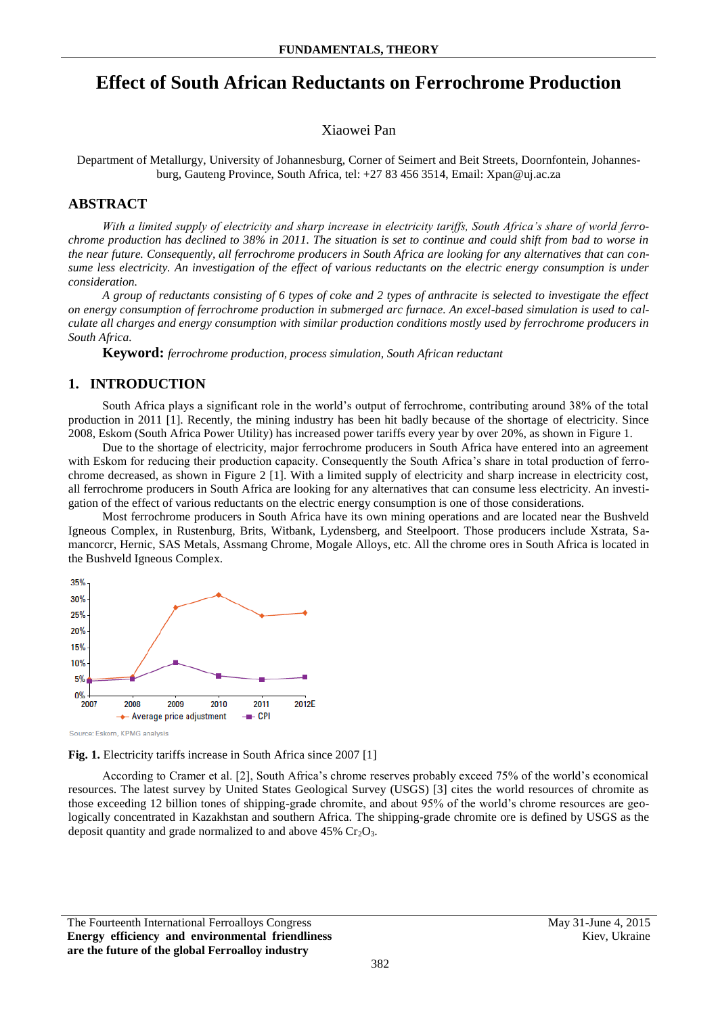# **Effect of South African Reductants on Ferrochrome Production**

## Xiaowei Pan

Department of Metallurgy, University of Johannesburg, Corner of Seimert and Beit Streets, Doornfontein, Johannesburg, Gauteng Province, South Africa, tel: +27 83 456 3514, Email: Xpan@uj.ac.za

# **ABSTRACT**

*With a limited supply of electricity and sharp increase in electricity tariffs, South Africa's share of world ferrochrome production has declined to 38% in 2011. The situation is set to continue and could shift from bad to worse in the near future. Consequently, all ferrochrome producers in South Africa are looking for any alternatives that can consume less electricity. An investigation of the effect of various reductants on the electric energy consumption is under consideration.* 

*A group of reductants consisting of 6 types of coke and 2 types of anthracite is selected to investigate the effect on energy consumption of ferrochrome production in submerged arc furnace. An excel-based simulation is used to calculate all charges and energy consumption with similar production conditions mostly used by ferrochrome producers in South Africa.*

**Keyword:** *ferrochrome production, process simulation, South African reductant*

## **1. INTRODUCTION**

South Africa plays a significant role in the world's output of ferrochrome, contributing around 38% of the total production in 2011 [1]. Recently, the mining industry has been hit badly because of the shortage of electricity. Since 2008, Eskom (South Africa Power Utility) has increased power tariffs every year by over 20%, as shown in Figure 1.

Due to the shortage of electricity, major ferrochrome producers in South Africa have entered into an agreement with Eskom for reducing their production capacity. Consequently the South Africa's share in total production of ferrochrome decreased, as shown in Figure 2 [1]. With a limited supply of electricity and sharp increase in electricity cost, all ferrochrome producers in South Africa are looking for any alternatives that can consume less electricity. An investigation of the effect of various reductants on the electric energy consumption is one of those considerations.

Most ferrochrome producers in South Africa have its own mining operations and are located near the Bushveld Igneous Complex, in Rustenburg, Brits, Witbank, Lydensberg, and Steelpoort. Those producers include Xstrata, Samancorcr, Hernic, SAS Metals, Assmang Chrome, Mogale Alloys, etc. All the chrome ores in South Africa is located in the Bushveld Igneous Complex.





According to Cramer et al. [2], South Africa's chrome reserves probably exceed 75% of the world's economical resources. The latest survey by United States Geological Survey (USGS) [3] cites the world resources of chromite as those exceeding 12 billion tones of shipping-grade chromite, and about 95% of the world's chrome resources are geologically concentrated in Kazakhstan and southern Africa. The shipping-grade chromite ore is defined by USGS as the deposit quantity and grade normalized to and above  $45\%$  Cr<sub>2</sub>O<sub>3</sub>.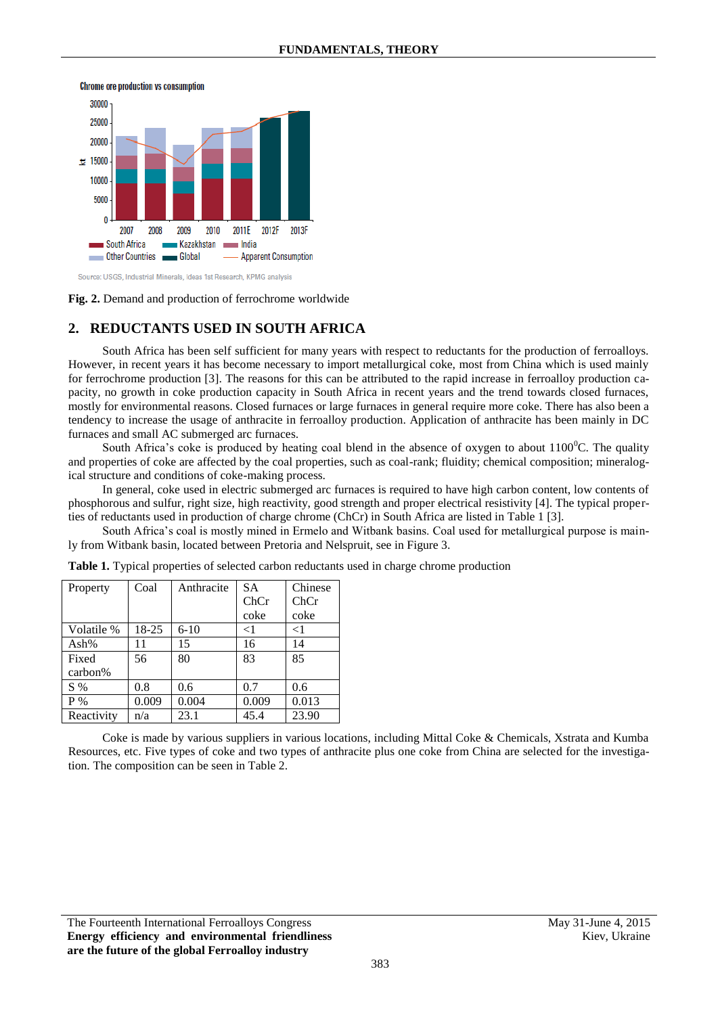



#### **Fig. 2.** Demand and production of ferrochrome worldwide

# **2. REDUCTANTS USED IN SOUTH AFRICA**

South Africa has been self sufficient for many years with respect to reductants for the production of ferroalloys. However, in recent years it has become necessary to import metallurgical coke, most from China which is used mainly for ferrochrome production [3]. The reasons for this can be attributed to the rapid increase in ferroalloy production capacity, no growth in coke production capacity in South Africa in recent years and the trend towards closed furnaces, mostly for environmental reasons. Closed furnaces or large furnaces in general require more coke. There has also been a tendency to increase the usage of anthracite in ferroalloy production. Application of anthracite has been mainly in DC furnaces and small AC submerged arc furnaces.

South Africa's coke is produced by heating coal blend in the absence of oxygen to about  $1100^{\circ}$ C. The quality and properties of coke are affected by the coal properties, such as coal-rank; fluidity; chemical composition; mineralogical structure and conditions of coke-making process.

In general, coke used in electric submerged arc furnaces is required to have high carbon content, low contents of phosphorous and sulfur, right size, high reactivity, good strength and proper electrical resistivity [4]. The typical properties of reductants used in production of charge chrome (ChCr) in South Africa are listed in Table 1 [3].

South Africa's coal is mostly mined in Ermelo and Witbank basins. Coal used for metallurgical purpose is mainly from Witbank basin, located between Pretoria and Nelspruit, see in Figure 3.

| Property   | Coal    | Anthracite | <b>SA</b> | Chinese |
|------------|---------|------------|-----------|---------|
|            |         |            | ChCr      | ChCr    |
|            |         |            | coke      | coke    |
| Volatile % | $18-25$ | $6-10$     | $<$ 1     | $<$ 1   |
| Ash $%$    | 11      | 15         | 16        | 14      |
| Fixed      | 56      | 80         | 83        | 85      |
| $carbon\%$ |         |            |           |         |
| $S\%$      | 0.8     | 0.6        | 0.7       | 0.6     |
| $P\%$      | 0.009   | 0.004      | 0.009     | 0.013   |
| Reactivity | n/a     | 23.1       | 45.4      | 23.90   |

**Table 1.** Typical properties of selected carbon reductants used in charge chrome production

Coke is made by various suppliers in various locations, including Mittal Coke & Chemicals, Xstrata and Kumba Resources, etc. Five types of coke and two types of anthracite plus one coke from China are selected for the investigation. The composition can be seen in Table 2.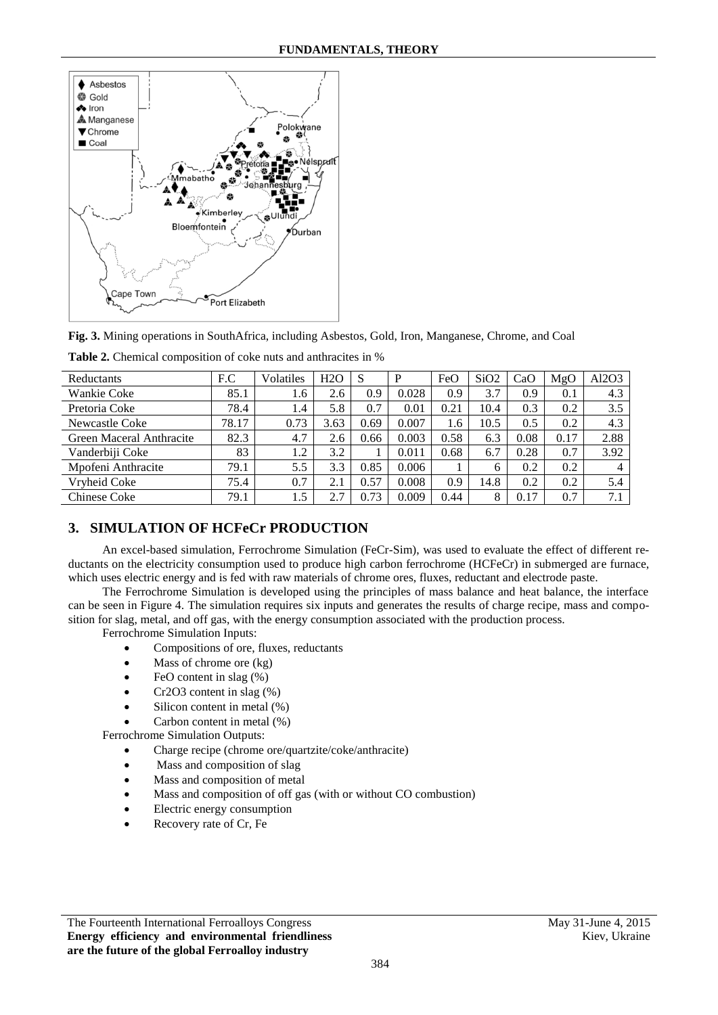

**Fig. 3.** Mining operations in SouthAfrica, including Asbestos, Gold, Iron, Manganese, Chrome, and Coal

| Reductants               | F.C   | Volatiles | H2O  |      | P     | FeO  | SiO2         | CaO  | MgO  | Al2O3 |
|--------------------------|-------|-----------|------|------|-------|------|--------------|------|------|-------|
| Wankie Coke              | 85.1  | 1.6       | 2.6  | 0.9  | 0.028 | 0.9  | 3.7          | 0.9  | 0.1  | 4.3   |
| Pretoria Coke            | 78.4  | 1.4       | 5.8  | 0.7  | 0.01  | 0.21 | 10.4         | 0.3  | 0.2  | 3.5   |
| Newcastle Coke           | 78.17 | 0.73      | 3.63 | 0.69 | 0.007 | 1.6  | 10.5         | 0.5  | 0.2  | 4.3   |
| Green Maceral Anthracite | 82.3  | 4.7       | 2.6  | 0.66 | 0.003 | 0.58 | 6.3          | 0.08 | 0.17 | 2.88  |
| Vanderbiji Coke          | 83    | 1.2       | 3.2  |      | 0.011 | 0.68 | 6.7          | 0.28 | 0.7  | 3.92  |
| Mpofeni Anthracite       | 79.1  | 5.5       | 3.3  | 0.85 | 0.006 |      | <sub>0</sub> | 0.2  | 0.2  |       |
| Vryheid Coke             | 75.4  | 0.7       | 2.1  | 0.57 | 0.008 | 0.9  | 14.8         | 0.2  | 0.2  | 5.4   |
| Chinese Coke             | 79.1  | 1.5       | 2.7  | 0.73 | 0.009 | 0.44 | 8            | 0.17 | 0.7  | 7.1   |

|  | Table 2. Chemical composition of coke nuts and anthracites in % |  |
|--|-----------------------------------------------------------------|--|
|--|-----------------------------------------------------------------|--|

# **3. SIMULATION OF HCFeCr PRODUCTION**

An excel-based simulation, Ferrochrome Simulation (FeCr-Sim), was used to evaluate the effect of different reductants on the electricity consumption used to produce high carbon ferrochrome (HCFeCr) in submerged are furnace, which uses electric energy and is fed with raw materials of chrome ores, fluxes, reductant and electrode paste.

The Ferrochrome Simulation is developed using the principles of mass balance and heat balance, the interface can be seen in Figure 4. The simulation requires six inputs and generates the results of charge recipe, mass and composition for slag, metal, and off gas, with the energy consumption associated with the production process.

Ferrochrome Simulation Inputs:

- Compositions of ore, fluxes, reductants
- $\bullet$  Mass of chrome ore (kg)
- FeO content in slag (%)
- Cr2O3 content in slag (%)
- Silicon content in metal (%)
- Carbon content in metal (%)

Ferrochrome Simulation Outputs:

- Charge recipe (chrome ore/quartzite/coke/anthracite)
- Mass and composition of slag
- Mass and composition of metal
- Mass and composition of off gas (with or without CO combustion)
- Electric energy consumption
- Recovery rate of Cr, Fe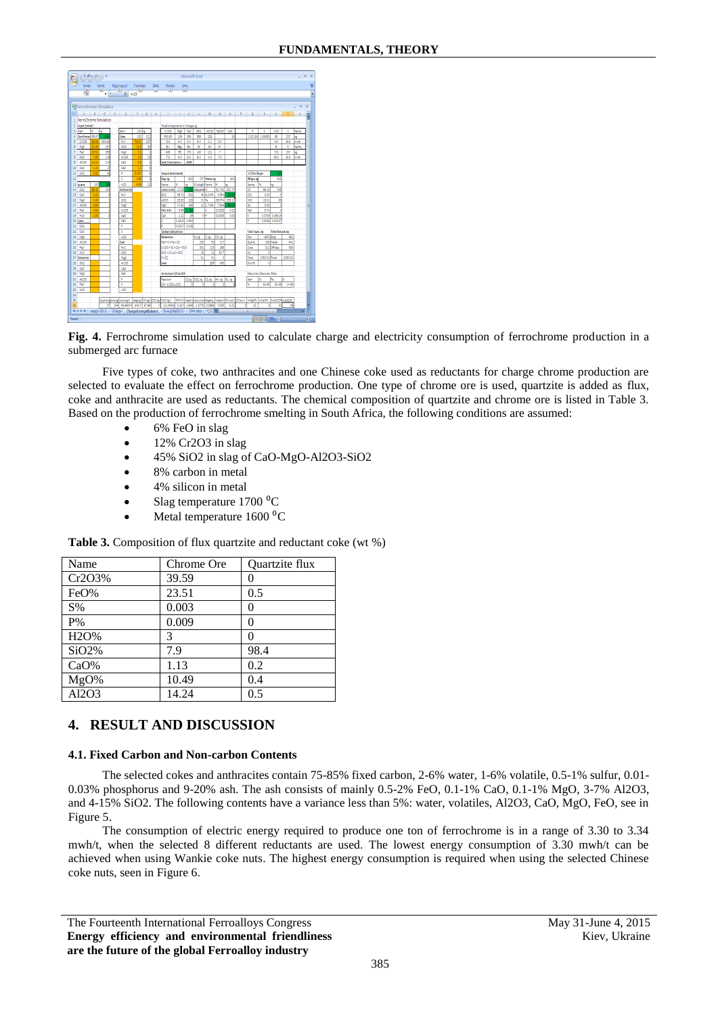|                 | 問句 同 *                     |                         |                          |                                                                                         |                |              |              |                                                                                                                                  |                     |           | Microsoft Freel     |                  |                       |               |    |                         |                 |                                  |            | $\blacksquare$ |
|-----------------|----------------------------|-------------------------|--------------------------|-----------------------------------------------------------------------------------------|----------------|--------------|--------------|----------------------------------------------------------------------------------------------------------------------------------|---------------------|-----------|---------------------|------------------|-----------------------|---------------|----|-------------------------|-----------------|----------------------------------|------------|----------------|
|                 | Home<br>H                  | $-1N$                   | Insert                   | <b>Page.Layout</b><br>$\mathbb{P}$                                                      | Formulas<br>M  |              | Data<br>HAL  | Reitew<br>ET R                                                                                                                   |                     | View<br>W |                     |                  |                       |               |    |                         |                 |                                  |            |                |
|                 |                            |                         | $\frac{1}{2}$            | $f_{\rm H}$ = 115                                                                       |                |              |              |                                                                                                                                  |                     |           |                     |                  |                       |               |    |                         |                 |                                  |            |                |
|                 |                            |                         |                          |                                                                                         |                |              |              |                                                                                                                                  |                     |           |                     |                  |                       |               |    |                         |                 |                                  |            |                |
|                 | 61 Ferrochromer-Simulation |                         |                          |                                                                                         |                |              |              |                                                                                                                                  |                     |           |                     |                  |                       |               |    |                         |                 |                                  |            | п              |
|                 | $A$ $B$                    |                         | $\overline{\phantom{a}}$ |                                                                                         |                | $\mathbf{G}$ | $\mathbf{H}$ | <b>COLLEGE</b>                                                                                                                   | <b>All All</b>      | x         | n.                  | $\mathbf{M}$     | $\overline{N}$        | $\circ$       | P  | $\circ$                 | R               | s                                |            | $\mathbf{u}$   |
|                 | 1 FerroChrome Simulation   |                         |                          |                                                                                         |                |              |              |                                                                                                                                  |                     |           |                     |                  |                       |               |    |                         |                 |                                  |            |                |
|                 | 2 Input [initial]          |                         |                          |                                                                                         |                |              |              | Total components in Charge, kg                                                                                                   |                     |           |                     |                  |                       |               |    |                         |                 |                                  |            |                |
|                 | 3 Ibem                     | w                       | ke                       | tem                                                                                     | 100 kg         |              |              | 0:203                                                                                                                            | MeO                 | FeO       | 502                 | 4103             | Fe203                 | 0.0           |    | ٠                       | s               | 100                              | c          | Name           |
|                 | Ore+Sinter 99.87           |                         | 15                       | Coke                                                                                    | 100            | 312          |              | 593.85                                                                                                                           | 159                 | 358       | 385                 | 228              |                       | 19            |    |                         | 0.02184 1.84093 | 66                               | 237        | la.            |
|                 | C/203                      | 39.59                   | 593.85                   | firC                                                                                    | 760            | 237          |              | 3.9                                                                                                                              | 40                  | 50        | 64                  | 22               | 00                    |               |    |                         |                 | 3.6                              | 19.8       | mele           |
|                 | MgO                        | 10.45                   | 157                      | \$02                                                                                    | 10.5           | B            |              | 0                                                                                                                                | Mr                  | Fe.       | s                   | AI               | н                     |               |    |                         |                 | $\circ$                          | ¢          | Name           |
|                 | FeO                        | 23.51                   | 353                      | MgO                                                                                     | 0.2            |              |              | 405                                                                                                                              | 95                  | 278       | 180                 | 121              | ÷                     |               |    |                         |                 | 723                              | 237        | a              |
|                 | sino                       | 7.90                    | 119                      | AI203                                                                                   | $\overline{4}$ | 13           |              | 78                                                                                                                               | 40                  | 50        | 64                  | 45               | 73                    |               |    |                         |                 | 45.2                             | 19.8       | mela           |
|                 | <b>AI203</b>               | 14.24                   | 214                      | CaD                                                                                     | 0.5            |              |              | total 8 elements =                                                                                                               |                     | 2043      |                     |                  |                       |               |    |                         |                 |                                  |            |                |
|                 | CeO                        | 1.14                    | $\overline{v}$           | FeO                                                                                     | 12             |              |              |                                                                                                                                  |                     |           |                     |                  |                       |               |    |                         |                 |                                  |            |                |
|                 | H20                        | $\overline{\mathbf{z}}$ | ä                        | ٠                                                                                       | 0.00           |              |              | Output lestimated                                                                                                                |                     |           |                     |                  |                       |               |    | %CO in Offices          |                 |                                  |            |                |
|                 |                            |                         |                          | x                                                                                       | 0.59           |              |              | Slag, kg                                                                                                                         |                     | 902       |                     | 737 Metal, kg    |                       | 641           |    | Offices, kg             |                 | 505                              |            |                |
|                 | 13 overtz                  | 100                     |                          | ROO                                                                                     | A.C            | ž.           |              | <b>Name</b>                                                                                                                      |                     | ke.       | 4Colació Name 1%    |                  |                       | he.           |    | Name                    | ls.             | ь                                |            |                |
| 14              | 5802                       | 58.40                   | 234                      | Anthracite                                                                              |                |              |              | c.201.12-M1 12.09                                                                                                                |                     |           | SID2.48-90 Cr       |                  |                       | 51,742 331.74 |    | œ                       | 86.18           | 435                              |            |                |
| 1¢              | CaO                        | 0.20                    | ô                        | fict                                                                                    |                |              |              | \$102                                                                                                                            | 36.72               | 331       |                     | 45 513-5% 3.954  |                       | 25.2          |    | CO <sub>2</sub>         | 000             | ö                                |            |                |
| 16              | MeO                        | 0.40                    |                          | \$622                                                                                   |                |              |              | 41203                                                                                                                            | 25.30               | 228       | 31 Fe               |                  |                       | 36.374 233.21 |    | H20                     | 13.01           | 66                               |            |                |
| 17              | AI203                      | o se                    |                          | MeO                                                                                     |                |              |              | MgO                                                                                                                              | 17.62               | 159       |                     | 22 C. 7-9% 7.926 |                       | 55.8          |    | N2                      | 0.00            | ö                                |            |                |
| 18<br>19        | FeO                        | 0.50<br>0 <sup>o</sup>  |                          | 4203                                                                                    |                |              |              | F#0.6-8%                                                                                                                         | 5.99                | 34        | 제                   | ls               | 0.0029                | 0.02          |    | FaO                     | 0.74            |                                  |            |                |
|                 | HOO                        |                         |                          | GO<br>Fag                                                                               |                |              |              | CaO<br>ś                                                                                                                         | 212<br>0.1613 1.454 | 19        |                     |                  | 0.0003                | 0.00          |    | k<br>Þ                  |                 | 0.0729 0.36819<br>0.0009 0.00437 |            |                |
|                 | 20 Line                    |                         |                          |                                                                                         |                |              |              | þ,                                                                                                                               |                     |           |                     |                  |                       |               |    |                         |                 |                                  |            |                |
| 21              | 5802                       |                         |                          | P                                                                                       |                |              |              |                                                                                                                                  | 0.0017              | 0.015     |                     |                  |                       |               |    |                         |                 |                                  |            |                |
| 22              | CaO                        |                         |                          | s                                                                                       |                |              |              | <b>Carbon Calculation</b>                                                                                                        |                     |           |                     |                  |                       |               |    | Total Input, kg         |                 | Total Output, kg                 |            |                |
| 23              | MaO                        |                         |                          | H20                                                                                     |                |              |              | Reduction                                                                                                                        |                     |           | Mike                | IC ke            | co, la                |               |    | Ore                     | 1500 Stag       |                                  | 902        |                |
| 24<br>25        | 4003<br>FeO                |                         |                          | Coal<br>fict                                                                            |                |              |              | FACHCaFA+CO<br>0:203+30+20+300                                                                                                   |                     |           | 233<br>332          | 50<br>115        | 117<br>258            |               |    | Quertz<br>Color         |                 | 238 March<br>312 Off Gas         | 641<br>505 |                |
|                 | 820                        |                         |                          | 502                                                                                     |                |              |              | 5802+2C+5i+2CD                                                                                                                   |                     |           |                     |                  | 50.7                  |               |    | Air.                    | ٥               |                                  |            |                |
| 26              | 27 Dolomite                |                         |                          | MeO                                                                                     |                |              |              |                                                                                                                                  |                     |           | 25<br>51            | 22<br>51         | ø                     |               |    | Total                   | 2050.02 Total   |                                  | 2050.02    |                |
|                 | 28 502                     |                         |                          | AI203                                                                                   |                |              |              | $C - [C]$<br>total                                                                                                               |                     |           |                     | 237              | 435                   |               |    | Error%                  | ٥               |                                  |            |                |
| 29 <sup>1</sup> | CHO                        |                         |                          | CaO                                                                                     |                |              |              |                                                                                                                                  |                     |           |                     |                  |                       |               |    |                         |                 |                                  |            |                |
| 30 <sup>°</sup> | MgO                        |                         |                          | FeO                                                                                     |                |              |              | Air to burn CO to CO2                                                                                                            |                     |           |                     |                  |                       |               |    | Reduction/Recovery Rate |                 |                                  |            |                |
| 31              | AI203                      |                         |                          | Þ                                                                                       |                |              |              | Reaction                                                                                                                         |                     |           | CO,kg CO2, kg 02,kg |                  |                       |               |    | Itam                    | lo.             | k.                               | k          |                |
|                 | FeO                        |                         |                          | s                                                                                       |                |              |              | CO+1/202+CO2                                                                                                                     |                     | ٥         | ٥                   | ٥                | Air, kg   N2, kg<br>٥ |               |    | N                       | 81.65           | 83.85                            | 14.09      |                |
| 32<br>33        | H20                        |                         |                          | H20                                                                                     |                |              |              |                                                                                                                                  |                     |           |                     |                  |                       |               |    |                         |                 |                                  |            |                |
| 34              |                            |                         |                          |                                                                                         |                |              |              |                                                                                                                                  |                     |           |                     |                  |                       |               |    |                         |                 |                                  |            |                |
|                 |                            |                         |                          |                                                                                         |                |              |              | Quartskglorekglcokekglt slagkglcDkgltcD2kglH2Dkgft MWH\tiheatinireductio(Slaging metalinCDcool CDbum 44MgD% 44GaOK 44M203N44602% |                     |           |                     |                  |                       |               |    |                         |                 |                                  |            |                |
| 35<br>36        |                            |                         |                          | 37 234 48,66674 140.7 67.89                                                             |                |              |              | 0 1024536 3.317 1.848 1.5775 0.0986 0.003                                                                                        |                     |           |                     |                  |                       | $-0.21$       | ٥l | $\overline{\mathbf{z}}$ | Ы               | 31                               | 45         |                |
|                 |                            |                         |                          | H (+ + + + assid3-2012 / Charge   ChargeEnergeBalance / EnergyBal2012 / CPH data / 2014 |                |              |              |                                                                                                                                  |                     |           |                     |                  |                       |               |    |                         |                 |                                  |            |                |

**Fig. 4.** Ferrochrome simulation used to calculate charge and electricity consumption of ferrochrome production in a submerged arc furnace

Five types of coke, two anthracites and one Chinese coke used as reductants for charge chrome production are selected to evaluate the effect on ferrochrome production. One type of chrome ore is used, quartzite is added as flux, coke and anthracite are used as reductants. The chemical composition of quartzite and chrome ore is listed in Table 3. Based on the production of ferrochrome smelting in South Africa, the following conditions are assumed:

- 6% FeO in slag
- 12% Cr2O3 in slag
- 45% SiO2 in slag of CaO-MgO-Al2O3-SiO2
- 8% carbon in metal
- 4% silicon in metal
- Slag temperature  $1700 \degree$ C
- Metal temperature 1600 °C

| Name              | Chrome Ore | <b>Ouartzite flux</b> |
|-------------------|------------|-----------------------|
| Cr2O3%            | 39.59      |                       |
| FeO%              | 23.51      | 0.5                   |
| $S\%$             | 0.003      | 0                     |
| $P\%$             | 0.009      | 0                     |
| H <sub>2</sub> O% | 3          | 0                     |
| SiO2%             | 7.9        | 98.4                  |
| CaO%              | 1.13       | 0.2                   |
| MgO%              | 10.49      | 0.4                   |
| Al2O3             | 14.24      | 0.5                   |

**Table 3.** Composition of flux quartzite and reductant coke (wt %)

# **4. RESULT AND DISCUSSION**

#### **4.1. Fixed Carbon and Non-carbon Contents**

The selected cokes and anthracites contain 75-85% fixed carbon, 2-6% water, 1-6% volatile, 0.5-1% sulfur, 0.01- 0.03% phosphorus and 9-20% ash. The ash consists of mainly 0.5-2% FeO, 0.1-1% CaO, 0.1-1% MgO, 3-7% Al2O3, and 4-15% SiO2. The following contents have a variance less than 5%: water, volatiles, Al2O3, CaO, MgO, FeO, see in Figure 5.

The consumption of electric energy required to produce one ton of ferrochrome is in a range of 3.30 to 3.34 mwh/t, when the selected 8 different reductants are used. The lowest energy consumption of 3.30 mwh/t can be achieved when using Wankie coke nuts. The highest energy consumption is required when using the selected Chinese coke nuts, seen in Figure 6.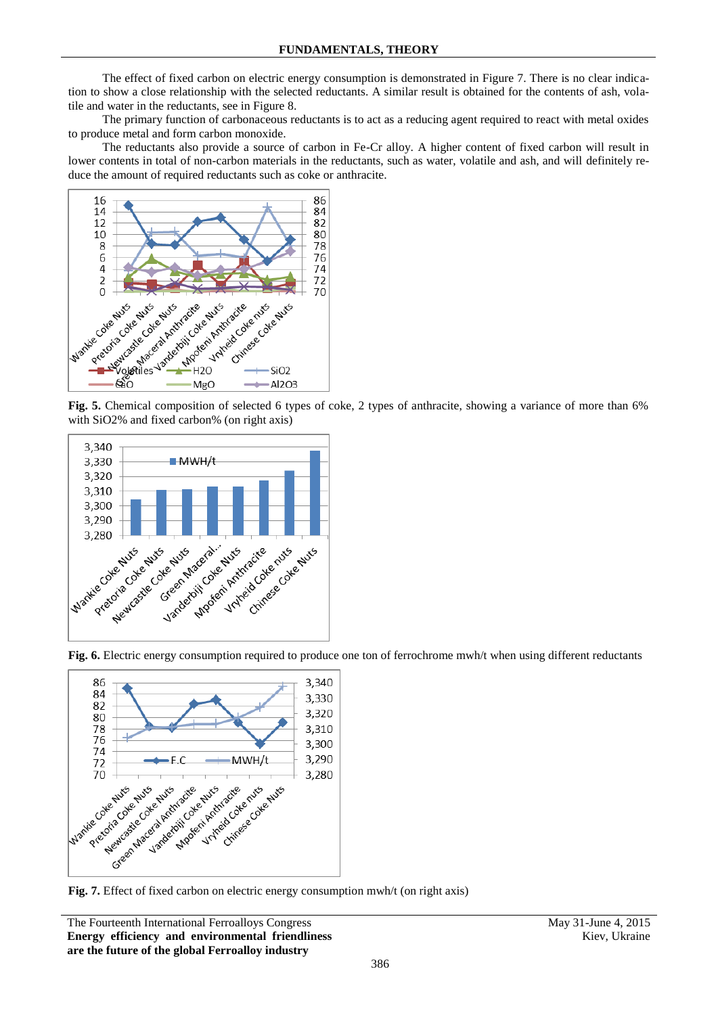The effect of fixed carbon on electric energy consumption is demonstrated in Figure 7. There is no clear indication to show a close relationship with the selected reductants. A similar result is obtained for the contents of ash, volatile and water in the reductants, see in Figure 8.

The primary function of carbonaceous reductants is to act as a reducing agent required to react with metal oxides to produce metal and form carbon monoxide.

The reductants also provide a source of carbon in Fe-Cr alloy. A higher content of fixed carbon will result in lower contents in total of non-carbon materials in the reductants, such as water, volatile and ash, and will definitely reduce the amount of required reductants such as coke or anthracite.



with SiO2% and fixed carbon% (on right axis)



Fig. 6. Electric energy consumption required to produce one ton of ferrochrome mwh/t when using different reductants



**Fig. 7.** Effect of fixed carbon on electric energy consumption mwh/t (on right axis)

The Fourteenth International Ferroalloys Congress May 31-June 4, 2015 **Energy efficiency and environmental friendliness are the future of the global Ferroalloy industry**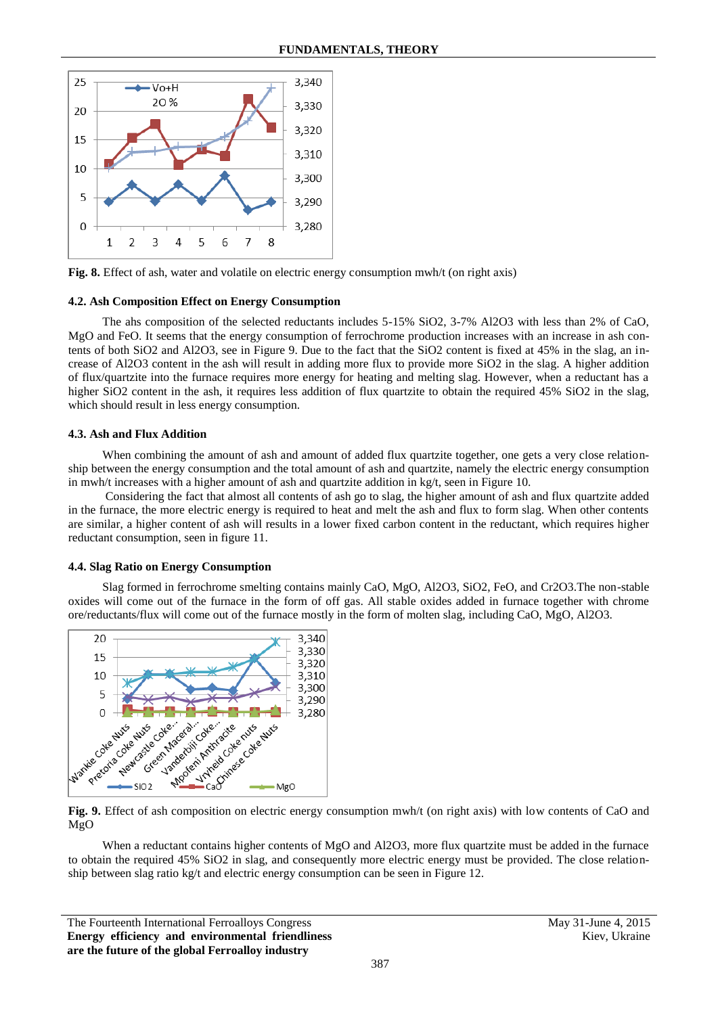

**Fig. 8.** Effect of ash, water and volatile on electric energy consumption mwh/t (on right axis)

#### **4.2. Ash Composition Effect on Energy Consumption**

The ahs composition of the selected reductants includes 5-15% SiO2, 3-7% Al2O3 with less than 2% of CaO, MgO and FeO. It seems that the energy consumption of ferrochrome production increases with an increase in ash contents of both SiO2 and Al2O3, see in Figure 9. Due to the fact that the SiO2 content is fixed at 45% in the slag, an increase of Al2O3 content in the ash will result in adding more flux to provide more SiO2 in the slag. A higher addition of flux/quartzite into the furnace requires more energy for heating and melting slag. However, when a reductant has a higher SiO2 content in the ash, it requires less addition of flux quartzite to obtain the required 45% SiO2 in the slag, which should result in less energy consumption.

## **4.3. Ash and Flux Addition**

When combining the amount of ash and amount of added flux quartzite together, one gets a very close relationship between the energy consumption and the total amount of ash and quartzite, namely the electric energy consumption in mwh/t increases with a higher amount of ash and quartzite addition in kg/t, seen in Figure 10.

Considering the fact that almost all contents of ash go to slag, the higher amount of ash and flux quartzite added in the furnace, the more electric energy is required to heat and melt the ash and flux to form slag. When other contents are similar, a higher content of ash will results in a lower fixed carbon content in the reductant, which requires higher reductant consumption, seen in figure 11.

## **4.4. Slag Ratio on Energy Consumption**

Slag formed in ferrochrome smelting contains mainly CaO, MgO, Al2O3, SiO2, FeO, and Cr2O3.The non-stable oxides will come out of the furnace in the form of off gas. All stable oxides added in furnace together with chrome ore/reductants/flux will come out of the furnace mostly in the form of molten slag, including CaO, MgO, Al2O3.



MgO

When a reductant contains higher contents of MgO and Al2O3, more flux quartzite must be added in the furnace to obtain the required 45% SiO2 in slag, and consequently more electric energy must be provided. The close relationship between slag ratio kg/t and electric energy consumption can be seen in Figure 12.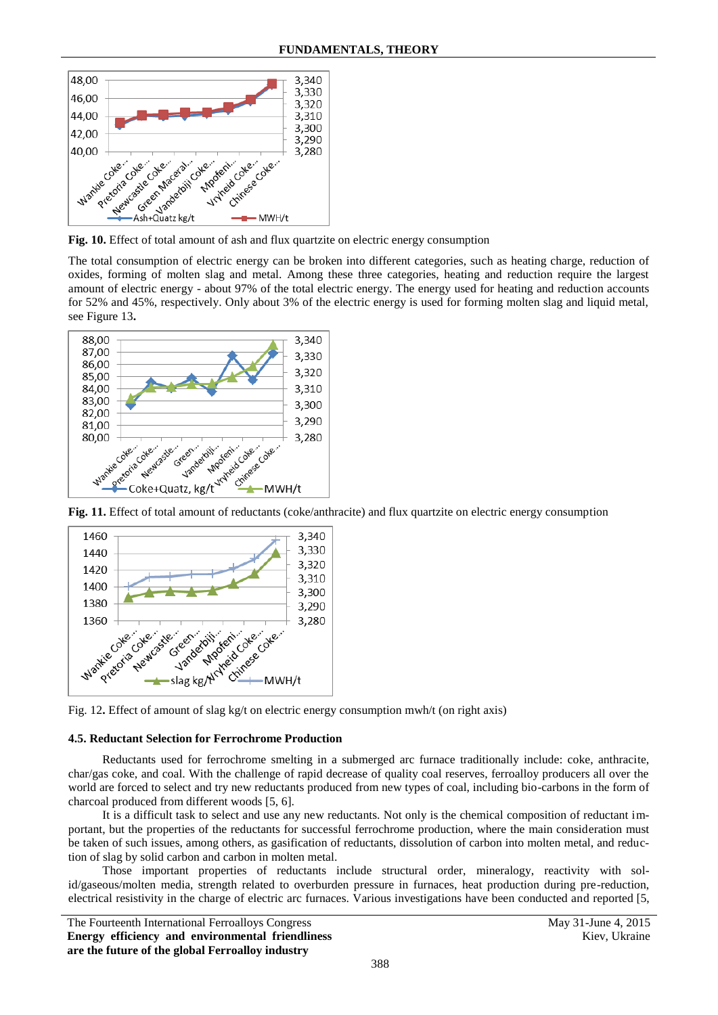

The total consumption of electric energy can be broken into different categories, such as heating charge, reduction of oxides, forming of molten slag and metal. Among these three categories, heating and reduction require the largest amount of electric energy - about 97% of the total electric energy. The energy used for heating and reduction accounts for 52% and 45%, respectively. Only about 3% of the electric energy is used for forming molten slag and liquid metal, see Figure 13**.**





Fig. 12. Effect of amount of slag kg/t on electric energy consumption mwh/t (on right axis)

#### **4.5. Reductant Selection for Ferrochrome Production**

Reductants used for ferrochrome smelting in a submerged arc furnace traditionally include: coke, anthracite, char/gas coke, and coal. With the challenge of rapid decrease of quality coal reserves, ferroalloy producers all over the world are forced to select and try new reductants produced from new types of coal, including bio-carbons in the form of charcoal produced from different woods [5, 6].

It is a difficult task to select and use any new reductants. Not only is the chemical composition of reductant important, but the properties of the reductants for successful ferrochrome production, where the main consideration must be taken of such issues, among others, as gasification of reductants, dissolution of carbon into molten metal, and reduction of slag by solid carbon and carbon in molten metal.

Those important properties of reductants include structural order, mineralogy, reactivity with solid/gaseous/molten media, strength related to overburden pressure in furnaces, heat production during pre-reduction, electrical resistivity in the charge of electric arc furnaces. Various investigations have been conducted and reported [5,